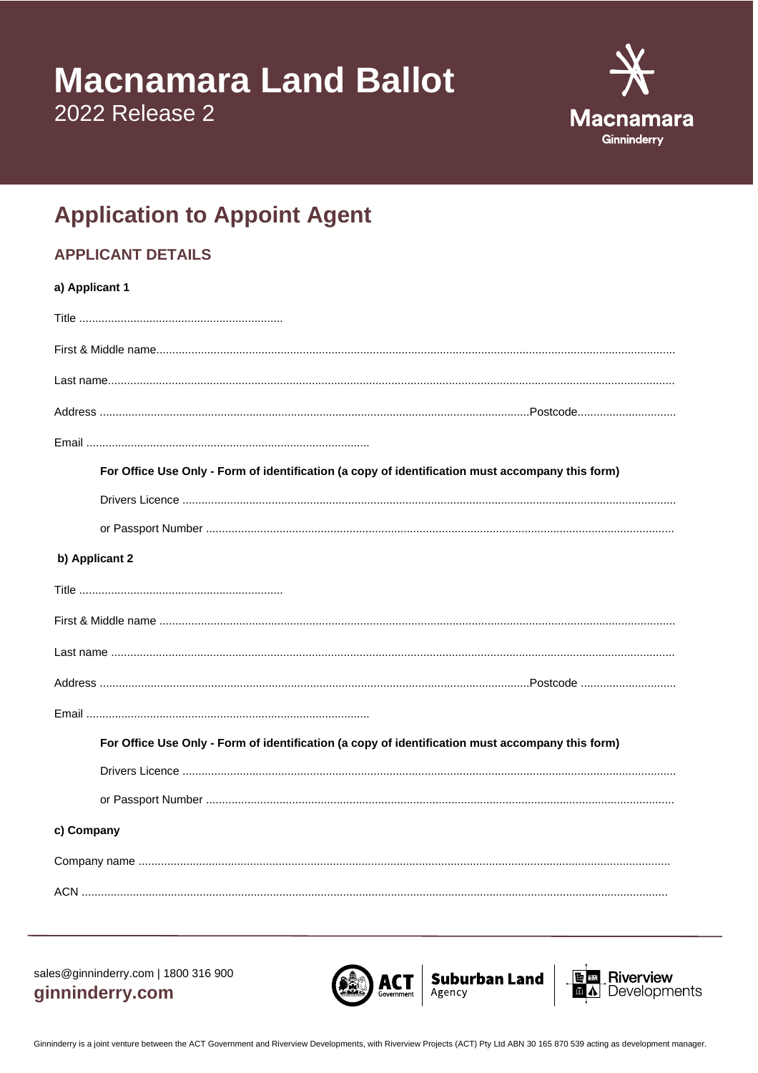## **Macnamara Land Ballot**

2022 Release 2



## **Application to Appoint Agent**

## **APPLICANT DETAILS**

| a) Applicant 1                                                                                   |  |  |
|--------------------------------------------------------------------------------------------------|--|--|
|                                                                                                  |  |  |
|                                                                                                  |  |  |
|                                                                                                  |  |  |
|                                                                                                  |  |  |
|                                                                                                  |  |  |
| For Office Use Only - Form of identification (a copy of identification must accompany this form) |  |  |
|                                                                                                  |  |  |
|                                                                                                  |  |  |
| b) Applicant 2                                                                                   |  |  |
|                                                                                                  |  |  |
|                                                                                                  |  |  |
|                                                                                                  |  |  |
|                                                                                                  |  |  |
|                                                                                                  |  |  |
| For Office Use Only - Form of identification (a copy of identification must accompany this form) |  |  |
|                                                                                                  |  |  |
|                                                                                                  |  |  |
| c) Company                                                                                       |  |  |
|                                                                                                  |  |  |
|                                                                                                  |  |  |

sales@ginninderry.com | 1800 316 900 ginninderry.com